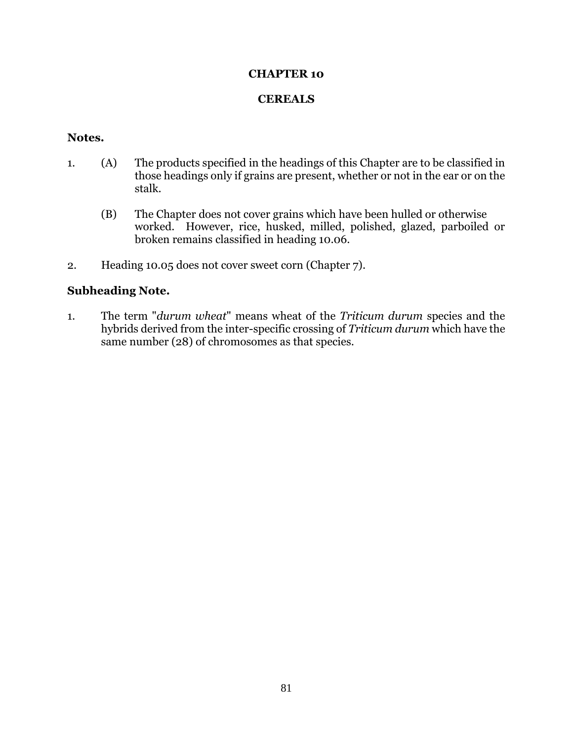## **CHAPTER 10**

## **CEREALS**

## **Notes.**

- 1. (A) The products specified in the headings of this Chapter are to be classified in those headings only if grains are present, whether or not in the ear or on the stalk.
	- (B) The Chapter does not cover grains which have been hulled or otherwise worked. However, rice, husked, milled, polished, glazed, parboiled or broken remains classified in heading 10.06.
- 2. Heading 10.05 does not cover sweet corn (Chapter 7).

## **Subheading Note.**

1. The term "*durum wheat*" means wheat of the *Triticum durum* species and the hybrids derived from the inter-specific crossing of *Triticum durum* which have the same number (28) of chromosomes as that species.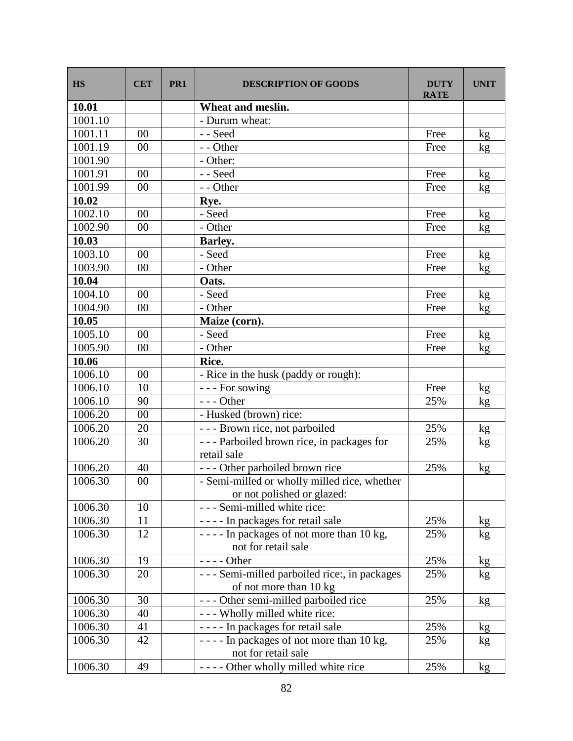| <b>HS</b> | <b>CET</b>     | PR <sub>1</sub> | <b>DESCRIPTION OF GOODS</b>                                     | <b>DUTY</b><br><b>RATE</b> | <b>UNIT</b>     |
|-----------|----------------|-----------------|-----------------------------------------------------------------|----------------------------|-----------------|
| 10.01     |                |                 | Wheat and meslin.                                               |                            |                 |
| 1001.10   |                |                 | - Durum wheat:                                                  |                            |                 |
| 1001.11   | 00             |                 | - - Seed                                                        | Free                       | kg              |
| 1001.19   | 00             |                 | - - Other                                                       | Free                       | kg              |
| 1001.90   |                |                 | - Other:                                                        |                            |                 |
| 1001.91   | 0 <sup>0</sup> |                 | - - Seed                                                        | Free                       | kg              |
| 1001.99   | 00             |                 | - - Other                                                       | Free                       | kg              |
| 10.02     |                |                 | Rye.                                                            |                            |                 |
| 1002.10   | 00             |                 | - Seed                                                          | Free                       | kg              |
| 1002.90   | 00             |                 | - Other                                                         | Free                       | kg              |
| 10.03     |                |                 | <b>Barley.</b>                                                  |                            |                 |
| 1003.10   | 00             |                 | - Seed                                                          | Free                       | kg              |
| 1003.90   | 00             |                 | - Other                                                         | Free                       | kg              |
| 10.04     |                |                 | Oats.                                                           |                            |                 |
| 1004.10   | $00\,$         |                 | - Seed                                                          | Free                       | kg              |
| 1004.90   | 00             |                 | - Other                                                         | Free                       | kg              |
| 10.05     |                |                 | Maize (corn).                                                   |                            |                 |
| 1005.10   | 00             |                 | - Seed                                                          | Free                       | kg              |
| 1005.90   | $00\,$         |                 | - Other                                                         | Free                       | kg              |
| 10.06     |                |                 | Rice.                                                           |                            |                 |
| 1006.10   | $00\,$         |                 | - Rice in the husk (paddy or rough):                            |                            |                 |
| 1006.10   | 10             |                 | --- For sowing                                                  | Free                       | kg              |
| 1006.10   | 90             |                 | $--$ Other                                                      | 25%                        | kg              |
| 1006.20   | 00             |                 | - Husked (brown) rice:                                          |                            |                 |
| 1006.20   | 20             |                 | --- Brown rice, not parboiled                                   | 25%                        | kg              |
| 1006.20   | 30             |                 | --- Parboiled brown rice, in packages for<br>retail sale        | 25%                        | kg              |
| 1006.20   | 40             |                 | --- Other parboiled brown rice                                  | 25%                        | kg              |
| 1006.30   | 00             |                 | - Semi-milled or wholly milled rice, whether                    |                            |                 |
|           |                |                 | or not polished or glazed:                                      |                            |                 |
| 1006.30   | 10             |                 | - - - Semi-milled white rice:                                   |                            |                 |
| 1006.30   | 11             |                 | ---- In packages for retail sale                                | 25%                        | kg <sub>2</sub> |
| 1006.30   | 12             |                 | ---- In packages of not more than 10 kg,<br>not for retail sale | 25%                        | kg              |
| 1006.30   | 19             |                 | $--- Other$                                                     | 25%                        | kg              |
| 1006.30   | 20             |                 | - - - Semi-milled parboiled rice:, in packages                  | 25%                        | kg              |
|           |                |                 | of not more than 10 kg                                          |                            |                 |
| 1006.30   | 30             |                 | --- Other semi-milled parboiled rice                            | 25%                        | kg              |
| 1006.30   | 40             |                 | - - - Wholly milled white rice:                                 |                            |                 |
| 1006.30   | 41             |                 | ---- In packages for retail sale                                | 25%                        | kg              |
| 1006.30   | 42             |                 | ---- In packages of not more than 10 kg,                        | 25%                        | kg              |
|           |                |                 | not for retail sale                                             |                            |                 |
| 1006.30   | 49             |                 | ---- Other wholly milled white rice                             | 25%                        | kg              |